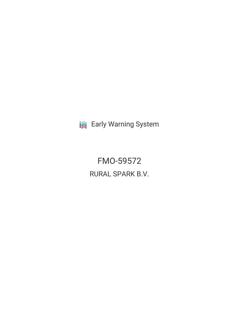**III** Early Warning System

FMO-59572 RURAL SPARK B.V.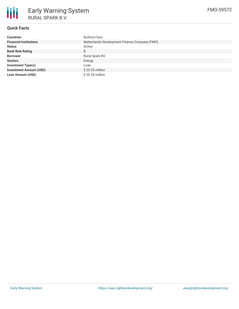

# **Quick Facts**

| <b>Countries</b>               | Burkina Faso                                  |
|--------------------------------|-----------------------------------------------|
| <b>Financial Institutions</b>  | Netherlands Development Finance Company (FMO) |
| <b>Status</b>                  | Active                                        |
| <b>Bank Risk Rating</b>        | B                                             |
| <b>Borrower</b>                | Rural Spark BV                                |
| <b>Sectors</b>                 | Energy                                        |
| Investment Type(s)             | Loan                                          |
| <b>Investment Amount (USD)</b> | $$20.35$ million                              |
| <b>Loan Amount (USD)</b>       | $$20.35$ million                              |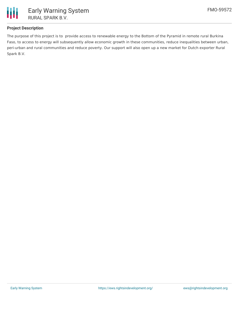

# **Project Description**

The purpose of this project is to provide access to renewable energy to the Bottom of the Pyramid in remote rural Burkina Faso, to access to energy will subsequently allow economic growth in these communities, reduce inequalities between urban, peri-urban and rural communities and reduce poverty. Our support will also open up a new market for Dutch exporter Rural Spark B.V.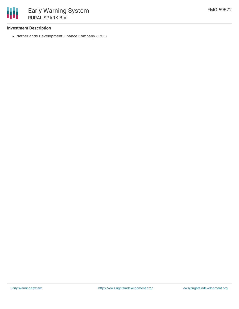

## **Investment Description**

Netherlands Development Finance Company (FMO)